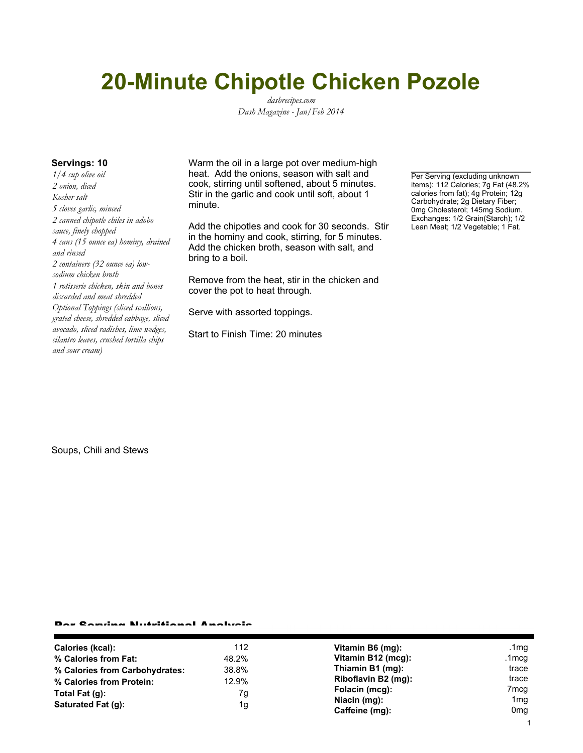# **20-Minute Chipotle Chicken Pozole**

*dashrecipes.com Dash Magazine - Jan/Feb 2014*

*1/4 cup olive oil 2 onion, diced Kosher salt 5 cloves garlic, minced 2 canned chipotle chiles in adobo sauce, finely chopped 4 cans (15 ounce ea) hominy, drained and rinsed 2 containers (32 ounce ea) lowsodium chicken broth 1 rotisserie chicken, skin and bones discarded and meat shredded Optional Toppings (sliced scallions, grated cheese, shredded cabbage, sliced avocado, sliced radishes, lime wedges, cilantro leaves, crushed tortilla chips and sour cream)*

**Servings: 10** Warm the oil in a large pot over medium-high heat. Add the onions, season with salt and cook, stirring until softened, about 5 minutes. Stir in the garlic and cook until soft, about 1 minute.

> Add the chipotles and cook for 30 seconds. Stir in the hominy and cook, stirring, for 5 minutes. Add the chicken broth, season with salt, and bring to a boil.

Remove from the heat, stir in the chicken and cover the pot to heat through.

Serve with assorted toppings.

Start to Finish Time: 20 minutes

Per Serving (excluding unknown items): 112 Calories; 7g Fat (48.2% calories from fat); 4g Protein; 12g Carbohydrate; 2g Dietary Fiber; 0mg Cholesterol; 145mg Sodium. Exchanges: 1/2 Grain(Starch); 1/2 Lean Meat; 1/2 Vegetable; 1 Fat.

Soups, Chili and Stews

### Per Serving Nutritional Analysis

| Calories (kcal):               | 112   | Vitamin B6 (mg):               | .1mg                               |
|--------------------------------|-------|--------------------------------|------------------------------------|
| % Calories from Fat:           | 48.2% | Vitamin B12 (mcg):             | .1mcg                              |
| % Calories from Carbohydrates: | 38.8% | Thiamin B1 (mg):               | trace                              |
| % Calories from Protein:       | 12.9% | Riboflavin B2 (mg):            | trace                              |
| Total Fat (g):                 | 7g    | Folacin (mcg):                 | 7 <sub>mcg</sub>                   |
| Saturated Fat (q):             | 1g    | Niacin (mg):<br>Caffeine (mg): | 1 <sub>mg</sub><br>0 <sub>mg</sub> |